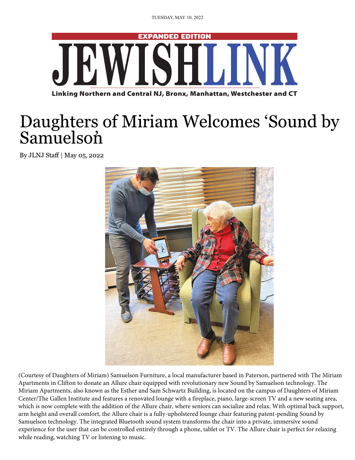

## [Daughters of Miriam Welcomes 'Sound by](https://jewishlink.news/index.php) Samuelson

By JLNJ Staff | May 05, 2022



(Courtesy of Daughters of Miriam) Samuelson Furniture, a local manufacturer based in Paterson, partnered with The Miriam Apartments in Clifton to donate an Allure chair equipped with revolutionary new Sound by Samuelson technology. The [Miriam Apartments, also known as the Esther and Sam Schwartz Bu](https://chat.whatsapp.com/H0kgFQzSpf36hQOd3CYHvi)ilding, is located on the campus of Daughters of Miriam Center/The Gallen Institute and features a renovated lounge with a fireplace, piano, large-screen TV and a new seating area, which is now complete with the addition of the Allure chair, where seniors can socialize and relax. With optimal back support, arm height and overall comfort, the Allure chair is a fully-upholstered lounge chair featuring patent-pending Sound by Samuelson technology. The integrated Bluetooth sound system transforms the chair into a private, immersive sound experience for the user that can be controlled entirely through a phone, tablet or TV. The Allure chair is perfect for relaxing while reading, watching TV or listening to music.